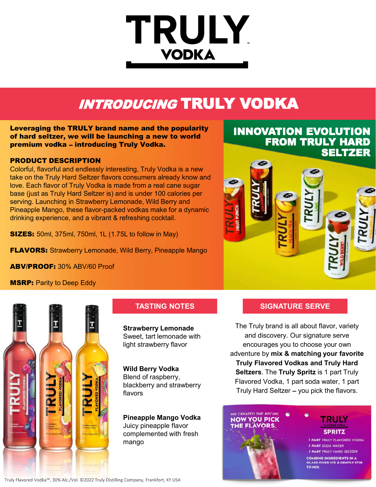# **TRULY VODKA**

# INTRODUCING TRULY VODKA

Leveraging the TRULY brand name and the popularity of hard seltzer, we will be launching a new to world premium vodka - introducing Truly Vodka.

### PRODUCT DESCRIPTION

Colorful, flavorful and endlessly interesting, Truly Vodka is a new take on the Truly Hard Seltzer flavors consumers already know and love. Each flavor of Truly Vodka is made from a real cane sugar base (just as Truly Hard Seltzer is) and is under 100 calories per serving. Launching in Strawberry Lemonade, Wild Berry and Pineapple Mango, these flavor-packed vodkas make for a dynamic drinking experience, and a vibrant & refreshing cocktail.

**SIZES:** 50ml, 375ml, 750ml, 1L (1.75L to follow in May)

**FLAVORS:** Strawberry Lemonade, Wild Berry, Pineapple Mango

ABV/PROOF: 30% ABV/60 Proof

**MSRP: Parity to Deep Eddy** 



Strawberry Lemonade Sweet, tart lemonade with light strawberry flavor

Wild Berry Vodka Blend of raspberry, blackberry and strawberry flavors

Juicy pineapple flavor **THE FLAVORS**. complemented with fresh mango

INNOVATION EVOLUTION FROM TRULY HARD **SELTZER** 



# TASTING NOTES SIGNATURE SERVE

The Truly brand is all about flavor, variety and discovery. Our signature serve encourages you to choose your own adventure by mix & matching your favorite Truly Flavored Vodkas and Truly Hard Seltzers. The Truly Spritz is 1 part Truly Flavored Vodka, 1 part soda water, 1 part Truly Hard Seltzer - you pick the flavors.





**I PART TRULY FLAVORED VODKA I PART SODA WATER I PART TRULY HARD SELT COMBINE INGREDIENTS IN A GLASS OVER ICE & GENTLY STIR TO MIX** 

Truly Flavored Vodka™, 30% Alc./Vol. ©2022 Truly Distilling Company, Frankfort, KY USA